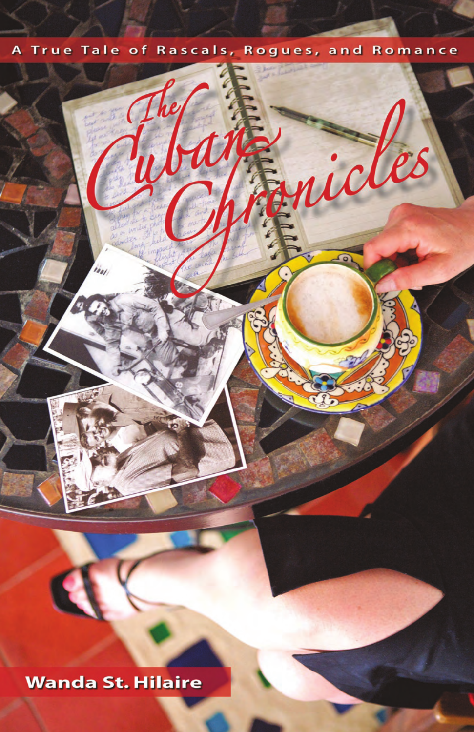## Rascals, Rogues, and Romance o f l e  $\epsilon$



## **Wanda St. Hilaire**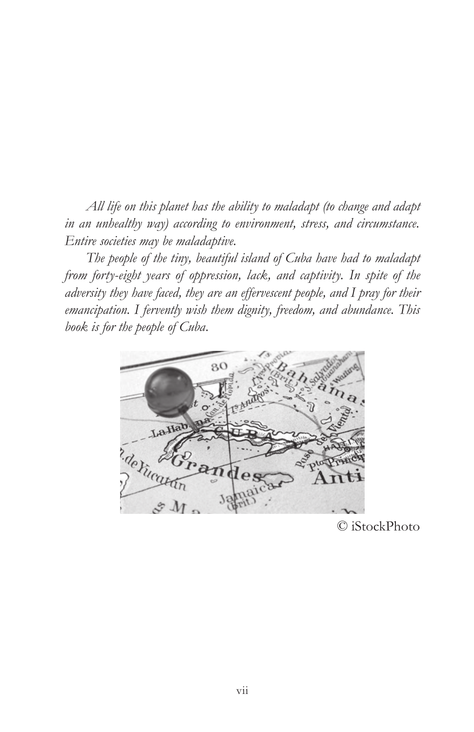*All life on this planet has the ability to maladapt (to change and adapt in an unhealthy way) according to environment, stress, and circumstance. Entire societies may be maladaptive.*

*The people of the tiny, beautiful island of Cuba have had to maladapt from forty-eight years of oppression, lack, and captivity. In spite of the adversity they have faced, they are an effervescent people, and I pray for their emancipation. I fervently wish them dignity, freedom, and abundance. This book is for the people of Cuba.*



© iStockPhoto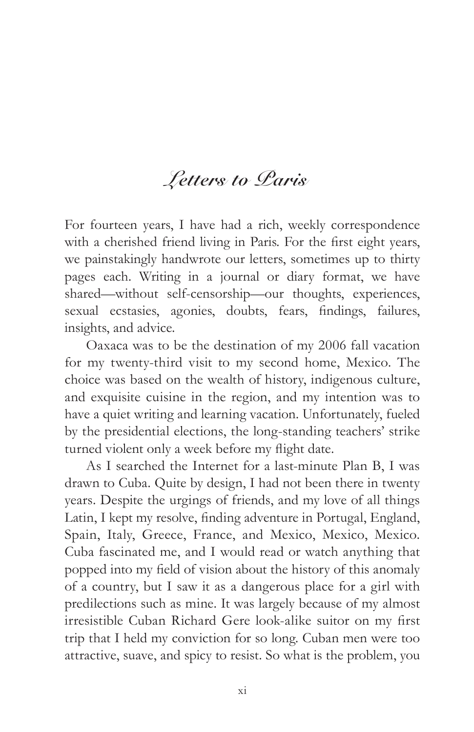## **Letters to Paris**

For fourteen years, I have had a rich, weekly correspondence with a cherished friend living in Paris. For the first eight years, we painstakingly handwrote our letters, sometimes up to thirty pages each. Writing in a journal or diary format, we have shared—without self-censorship—our thoughts, experiences, sexual ecstasies, agonies, doubts, fears, findings, failures, insights, and advice.

Oaxaca was to be the destination of my 2006 fall vacation for my twenty-third visit to my second home, Mexico. The choice was based on the wealth of history, indigenous culture, and exquisite cuisine in the region, and my intention was to have a quiet writing and learning vacation. Unfortunately, fueled by the presidential elections, the long-standing teachers' strike turned violent only a week before my flight date.

As I searched the Internet for a last-minute Plan B, I was drawn to Cuba. Quite by design, I had not been there in twenty years. Despite the urgings of friends, and my love of all things Latin, I kept my resolve, finding adventure in Portugal, England, Spain, Italy, Greece, France, and Mexico, Mexico, Mexico. Cuba fascinated me, and I would read or watch anything that popped into my field of vision about the history of this anomaly of a country, but I saw it as a dangerous place for a girl with predilections such as mine. It was largely because of my almost irresistible Cuban Richard Gere look-alike suitor on my first trip that I held my conviction for so long. Cuban men were too attractive, suave, and spicy to resist. So what is the problem, you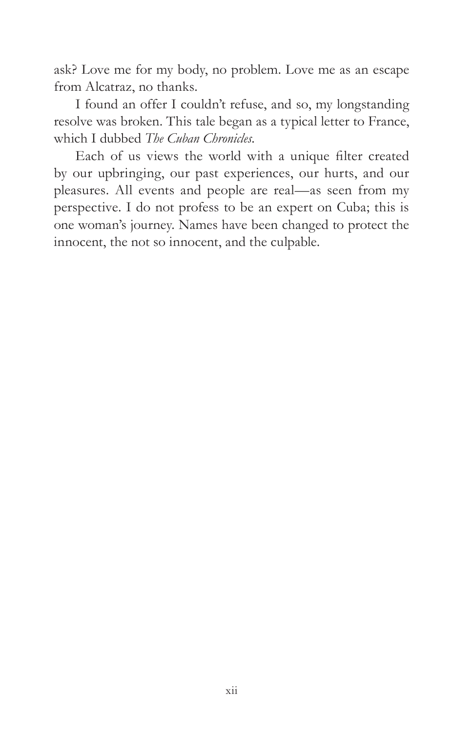ask? Love me for my body, no problem. Love me as an escape from Alcatraz, no thanks.

I found an offer I couldn't refuse, and so, my longstanding resolve was broken. This tale began as a typical letter to France, which I dubbed *The Cuban Chronicles.*

Each of us views the world with a unique filter created by our upbringing, our past experiences, our hurts, and our pleasures. All events and people are real—as seen from my perspective. I do not profess to be an expert on Cuba; this is one woman's journey. Names have been changed to protect the innocent, the not so innocent, and the culpable.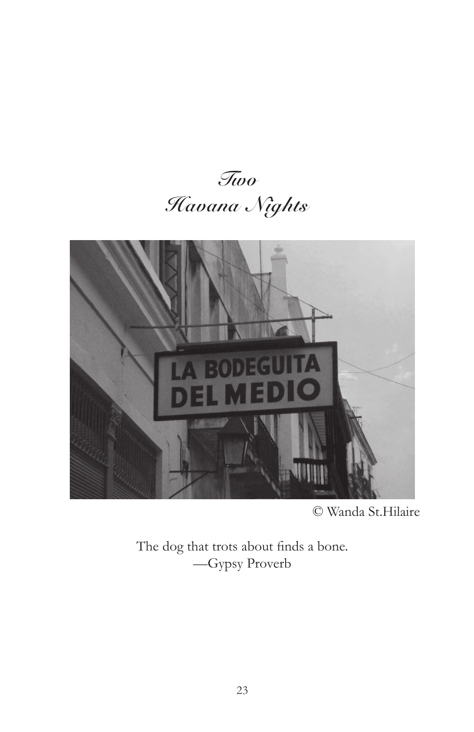



© Wanda St.Hilaire

The dog that trots about finds a bone. —Gypsy Proverb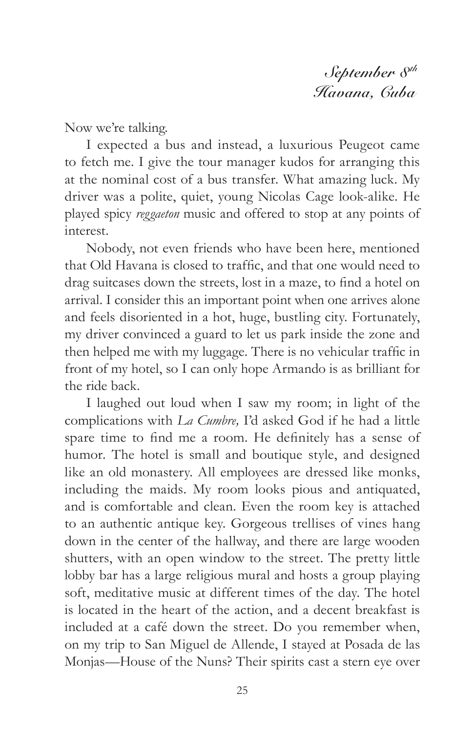**September 8th Havana, Cuba**

Now we're talking.

I expected a bus and instead, a luxurious Peugeot came to fetch me. I give the tour manager kudos for arranging this at the nominal cost of a bus transfer. What amazing luck. My driver was a polite, quiet, young Nicolas Cage look-alike. He played spicy *reggaeton* music and offered to stop at any points of interest.

Nobody, not even friends who have been here, mentioned that Old Havana is closed to traffic, and that one would need to drag suitcases down the streets, lost in a maze, to find a hotel on arrival. I consider this an important point when one arrives alone and feels disoriented in a hot, huge, bustling city. Fortunately, my driver convinced a guard to let us park inside the zone and then helped me with my luggage. There is no vehicular traffic in front of my hotel, so I can only hope Armando is as brilliant for the ride back.

I laughed out loud when I saw my room; in light of the complications with *La Cumbre,* I'd asked God if he had a little spare time to find me a room. He definitely has a sense of humor. The hotel is small and boutique style, and designed like an old monastery. All employees are dressed like monks, including the maids. My room looks pious and antiquated, and is comfortable and clean. Even the room key is attached to an authentic antique key. Gorgeous trellises of vines hang down in the center of the hallway, and there are large wooden shutters, with an open window to the street. The pretty little lobby bar has a large religious mural and hosts a group playing soft, meditative music at different times of the day. The hotel is located in the heart of the action, and a decent breakfast is included at a café down the street. Do you remember when, on my trip to San Miguel de Allende, I stayed at Posada de las Monjas—House of the Nuns? Their spirits cast a stern eye over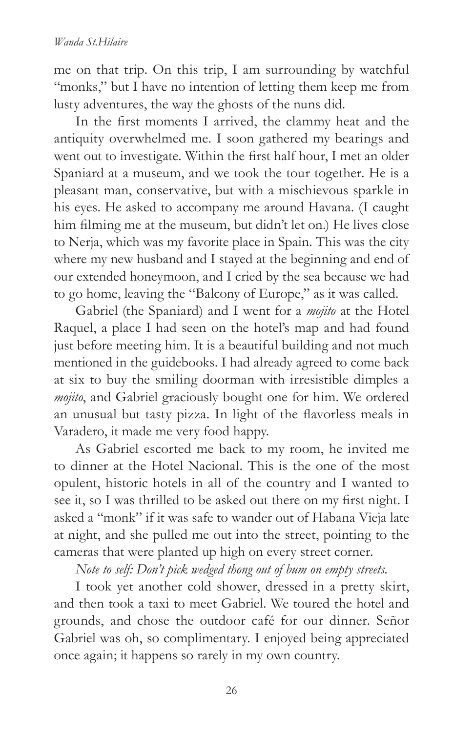me on that trip. On this trip, I am surrounding by watchful "monks," but I have no intention of letting them keep me from lusty adventures, the way the ghosts of the nuns did.

In the first moments I arrived, the clammy heat and the antiquity overwhelmed me. I soon gathered my bearings and went out to investigate. Within the first half hour, I met an older Spaniard at a museum, and we took the tour together. He is a pleasant man, conservative, but with a mischievous sparkle in his eyes. He asked to accompany me around Havana. (I caught him filming me at the museum, but didn't let on.) He lives close to Nerja, which was my favorite place in Spain. This was the city where my new husband and I stayed at the beginning and end of our extended honeymoon, and I cried by the sea because we had to go home, leaving the "Balcony of Europe," as it was called.

Gabriel (the Spaniard) and I went for a *mojito* at the Hotel Raquel, a place I had seen on the hotel's map and had found just before meeting him. It is a beautiful building and not much mentioned in the guidebooks. I had already agreed to come back at six to buy the smiling doorman with irresistible dimples a *mojito*, and Gabriel graciously bought one for him. We ordered an unusual but tasty pizza. In light of the flavorless meals in Varadero, it made me very food happy.

As Gabriel escorted me back to my room, he invited me to dinner at the Hotel Nacional. This is the one of the most opulent, historic hotels in all of the country and I wanted to see it, so I was thrilled to be asked out there on my first night. I asked a "monk" if it was safe to wander out of Habana Vieja late at night, and she pulled me out into the street, pointing to the cameras that were planted up high on every street corner.

*Note to self: Don't pick wedged thong out of bum on empty streets.*

I took yet another cold shower, dressed in a pretty skirt, and then took a taxi to meet Gabriel. We toured the hotel and grounds, and chose the outdoor café for our dinner. Señor Gabriel was oh, so complimentary. I enjoyed being appreciated once again; it happens so rarely in my own country.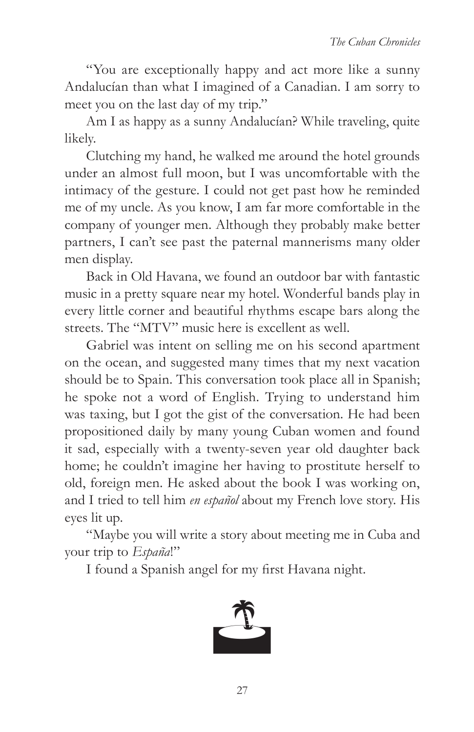"You are exceptionally happy and act more like a sunny Andalucían than what I imagined of a Canadian. I am sorry to meet you on the last day of my trip."

Am I as happy as a sunny Andalucían? While traveling, quite likely.

Clutching my hand, he walked me around the hotel grounds under an almost full moon, but I was uncomfortable with the intimacy of the gesture. I could not get past how he reminded me of my uncle. As you know, I am far more comfortable in the company of younger men. Although they probably make better partners, I can't see past the paternal mannerisms many older men display.

Back in Old Havana, we found an outdoor bar with fantastic music in a pretty square near my hotel. Wonderful bands play in every little corner and beautiful rhythms escape bars along the streets. The "MTV" music here is excellent as well.

Gabriel was intent on selling me on his second apartment on the ocean, and suggested many times that my next vacation should be to Spain. This conversation took place all in Spanish; he spoke not a word of English. Trying to understand him was taxing, but I got the gist of the conversation. He had been propositioned daily by many young Cuban women and found it sad, especially with a twenty-seven year old daughter back home; he couldn't imagine her having to prostitute herself to old, foreign men. He asked about the book I was working on, and I tried to tell him *en español* about my French love story*.* His eyes lit up.

"Maybe you will write a story about meeting me in Cuba and your trip to *España*!"

I found a Spanish angel for my first Havana night.

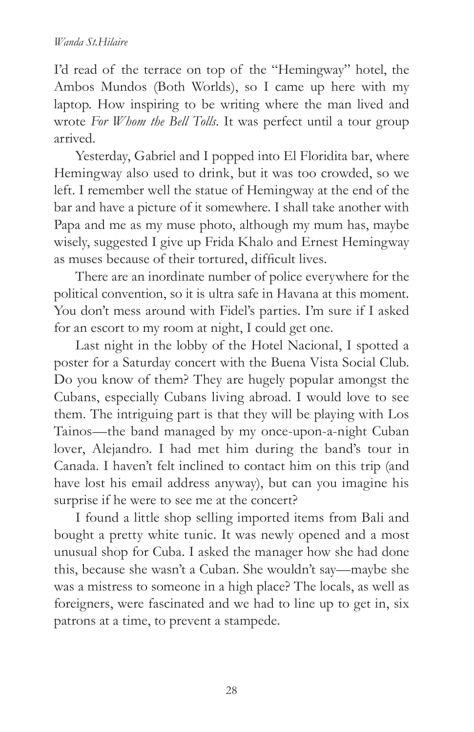I'd read of the terrace on top of the "Hemingway" hotel, the Ambos Mundos (Both Worlds), so I came up here with my laptop. How inspiring to be writing where the man lived and wrote *For Whom the Bell Tolls*. It was perfect until a tour group arrived.

Yesterday, Gabriel and I popped into El Floridita bar, where Hemingway also used to drink, but it was too crowded, so we left. I remember well the statue of Hemingway at the end of the bar and have a picture of it somewhere. I shall take another with Papa and me as my muse photo, although my mum has, maybe wisely, suggested I give up Frida Khalo and Ernest Hemingway as muses because of their tortured, difficult lives.

There are an inordinate number of police everywhere for the political convention, so it is ultra safe in Havana at this moment. You don't mess around with Fidel's parties. I'm sure if I asked for an escort to my room at night, I could get one.

Last night in the lobby of the Hotel Nacional, I spotted a poster for a Saturday concert with the Buena Vista Social Club. Do you know of them? They are hugely popular amongst the Cubans, especially Cubans living abroad. I would love to see them. The intriguing part is that they will be playing with Los Tainos*—*the band managed by my once-upon-a-night Cuban lover, Alejandro. I had met him during the band's tour in Canada. I haven't felt inclined to contact him on this trip (and have lost his email address anyway), but can you imagine his surprise if he were to see me at the concert?

I found a little shop selling imported items from Bali and bought a pretty white tunic. It was newly opened and a most unusual shop for Cuba. I asked the manager how she had done this, because she wasn't a Cuban. She wouldn't say—maybe she was a mistress to someone in a high place? The locals, as well as foreigners, were fascinated and we had to line up to get in, six patrons at a time, to prevent a stampede.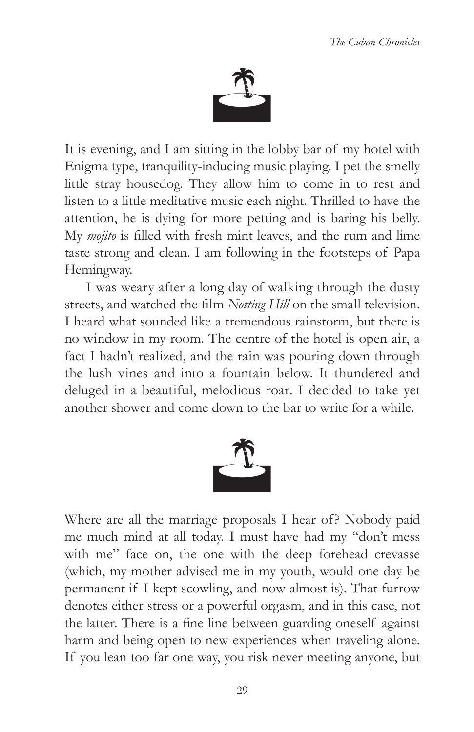

It is evening, and I am sitting in the lobby bar of my hotel with Enigma type, tranquility-inducing music playing. I pet the smelly little stray housedog. They allow him to come in to rest and listen to a little meditative music each night. Thrilled to have the attention, he is dying for more petting and is baring his belly. My *mojito* is filled with fresh mint leaves, and the rum and lime taste strong and clean. I am following in the footsteps of Papa Hemingway.

I was weary after a long day of walking through the dusty streets, and watched the film *Notting Hill* on the small television. I heard what sounded like a tremendous rainstorm, but there is no window in my room. The centre of the hotel is open air, a fact I hadn't realized, and the rain was pouring down through the lush vines and into a fountain below. It thundered and deluged in a beautiful, melodious roar. I decided to take yet another shower and come down to the bar to write for a while.



Where are all the marriage proposals I hear of? Nobody paid me much mind at all today. I must have had my "don't mess with me" face on, the one with the deep forehead crevasse (which, my mother advised me in my youth, would one day be permanent if I kept scowling, and now almost is). That furrow denotes either stress or a powerful orgasm, and in this case, not the latter. There is a fine line between guarding oneself against harm and being open to new experiences when traveling alone. If you lean too far one way, you risk never meeting anyone, but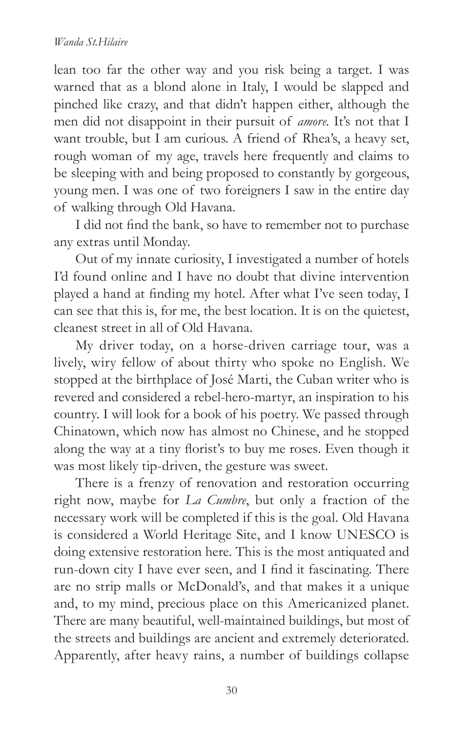lean too far the other way and you risk being a target. I was warned that as a blond alone in Italy, I would be slapped and pinched like crazy, and that didn't happen either, although the men did not disappoint in their pursuit of *amore.* It's not that I want trouble, but I am curious. A friend of Rhea's, a heavy set, rough woman of my age, travels here frequently and claims to be sleeping with and being proposed to constantly by gorgeous, young men. I was one of two foreigners I saw in the entire day of walking through Old Havana.

I did not find the bank, so have to remember not to purchase any extras until Monday.

Out of my innate curiosity, I investigated a number of hotels I'd found online and I have no doubt that divine intervention played a hand at finding my hotel. After what I've seen today, I can see that this is, for me, the best location. It is on the quietest, cleanest street in all of Old Havana.

My driver today, on a horse-driven carriage tour, was a lively, wiry fellow of about thirty who spoke no English. We stopped at the birthplace of José Marti, the Cuban writer who is revered and considered a rebel-hero-martyr, an inspiration to his country. I will look for a book of his poetry. We passed through Chinatown, which now has almost no Chinese, and he stopped along the way at a tiny florist's to buy me roses. Even though it was most likely tip-driven, the gesture was sweet.

There is a frenzy of renovation and restoration occurring right now, maybe for *La Cumbre*, but only a fraction of the necessary work will be completed if this is the goal. Old Havana is considered a World Heritage Site, and I know UNESCO is doing extensive restoration here. This is the most antiquated and run-down city I have ever seen, and I find it fascinating. There are no strip malls or McDonald's, and that makes it a unique and, to my mind, precious place on this Americanized planet. There are many beautiful, well-maintained buildings, but most of the streets and buildings are ancient and extremely deteriorated. Apparently, after heavy rains, a number of buildings collapse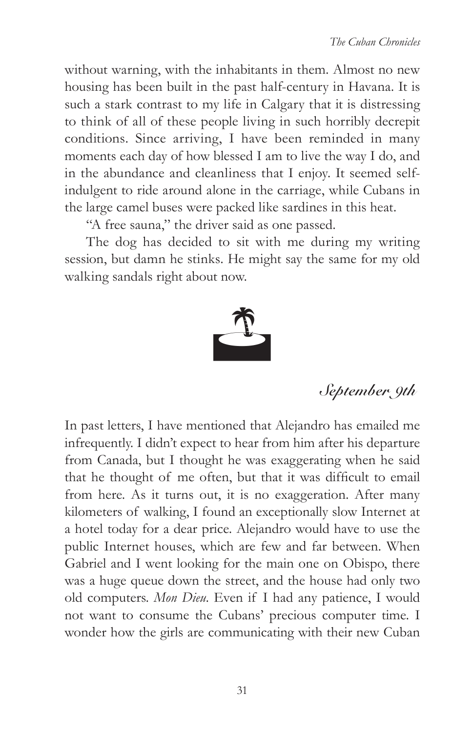without warning, with the inhabitants in them. Almost no new housing has been built in the past half-century in Havana. It is such a stark contrast to my life in Calgary that it is distressing to think of all of these people living in such horribly decrepit conditions. Since arriving, I have been reminded in many moments each day of how blessed I am to live the way I do, and in the abundance and cleanliness that I enjoy. It seemed selfindulgent to ride around alone in the carriage, while Cubans in the large camel buses were packed like sardines in this heat.

"A free sauna," the driver said as one passed.

The dog has decided to sit with me during my writing session, but damn he stinks. He might say the same for my old walking sandals right about now.



**September 9th**

In past letters, I have mentioned that Alejandro has emailed me infrequently. I didn't expect to hear from him after his departure from Canada, but I thought he was exaggerating when he said that he thought of me often, but that it was difficult to email from here. As it turns out, it is no exaggeration. After many kilometers of walking, I found an exceptionally slow Internet at a hotel today for a dear price. Alejandro would have to use the public Internet houses, which are few and far between. When Gabriel and I went looking for the main one on Obispo, there was a huge queue down the street, and the house had only two old computers. *Mon Dieu*. Even if I had any patience, I would not want to consume the Cubans' precious computer time. I wonder how the girls are communicating with their new Cuban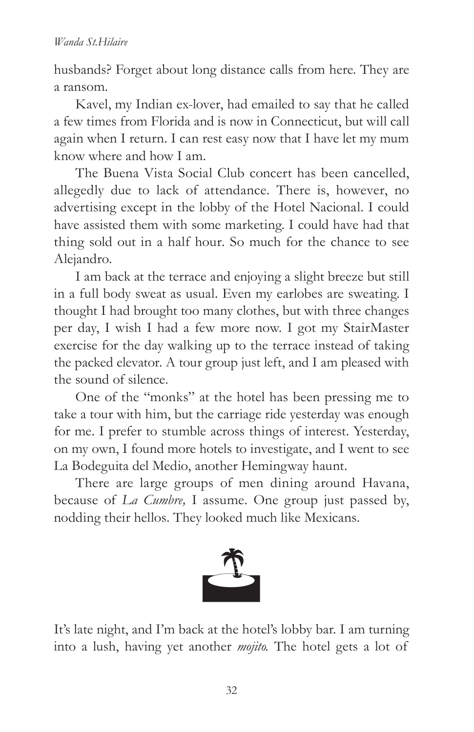husbands? Forget about long distance calls from here. They are a ransom.

Kavel, my Indian ex-lover, had emailed to say that he called a few times from Florida and is now in Connecticut, but will call again when I return. I can rest easy now that I have let my mum know where and how I am.

The Buena Vista Social Club concert has been cancelled, allegedly due to lack of attendance. There is, however, no advertising except in the lobby of the Hotel Nacional. I could have assisted them with some marketing. I could have had that thing sold out in a half hour. So much for the chance to see Alejandro.

I am back at the terrace and enjoying a slight breeze but still in a full body sweat as usual. Even my earlobes are sweating. I thought I had brought too many clothes, but with three changes per day, I wish I had a few more now. I got my StairMaster exercise for the day walking up to the terrace instead of taking the packed elevator. A tour group just left, and I am pleased with the sound of silence.

One of the "monks" at the hotel has been pressing me to take a tour with him, but the carriage ride yesterday was enough for me. I prefer to stumble across things of interest. Yesterday, on my own, I found more hotels to investigate, and I went to see La Bodeguita del Medio, another Hemingway haunt.

There are large groups of men dining around Havana, because of *La Cumbre,* I assume. One group just passed by, nodding their hellos. They looked much like Mexicans.



It's late night, and I'm back at the hotel's lobby bar. I am turning into a lush, having yet another *mojito.* The hotel gets a lot of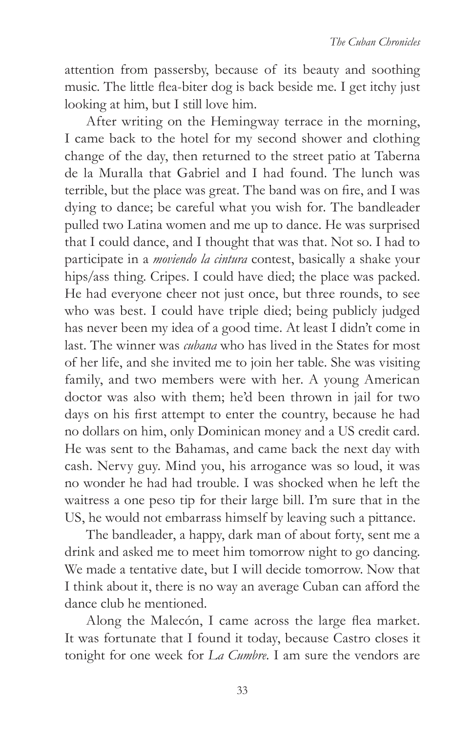attention from passersby, because of its beauty and soothing music. The little flea-biter dog is back beside me. I get itchy just looking at him, but I still love him.

After writing on the Hemingway terrace in the morning, I came back to the hotel for my second shower and clothing change of the day, then returned to the street patio at Taberna de la Muralla that Gabriel and I had found. The lunch was terrible, but the place was great. The band was on fire, and I was dying to dance; be careful what you wish for. The bandleader pulled two Latina women and me up to dance. He was surprised that I could dance, and I thought that was that. Not so. I had to participate in a *moviendo la cintura* contest, basically a shake your hips/ass thing. Cripes. I could have died; the place was packed. He had everyone cheer not just once, but three rounds, to see who was best. I could have triple died; being publicly judged has never been my idea of a good time. At least I didn't come in last. The winner was *cubana* who has lived in the States for most of her life, and she invited me to join her table. She was visiting family, and two members were with her. A young American doctor was also with them; he'd been thrown in jail for two days on his first attempt to enter the country, because he had no dollars on him, only Dominican money and a US credit card. He was sent to the Bahamas, and came back the next day with cash. Nervy guy. Mind you, his arrogance was so loud, it was no wonder he had had trouble. I was shocked when he left the waitress a one peso tip for their large bill. I'm sure that in the US, he would not embarrass himself by leaving such a pittance.

The bandleader, a happy, dark man of about forty, sent me a drink and asked me to meet him tomorrow night to go dancing. We made a tentative date, but I will decide tomorrow. Now that I think about it, there is no way an average Cuban can afford the dance club he mentioned.

Along the Malecón, I came across the large flea market. It was fortunate that I found it today, because Castro closes it tonight for one week for *La Cumbre*. I am sure the vendors are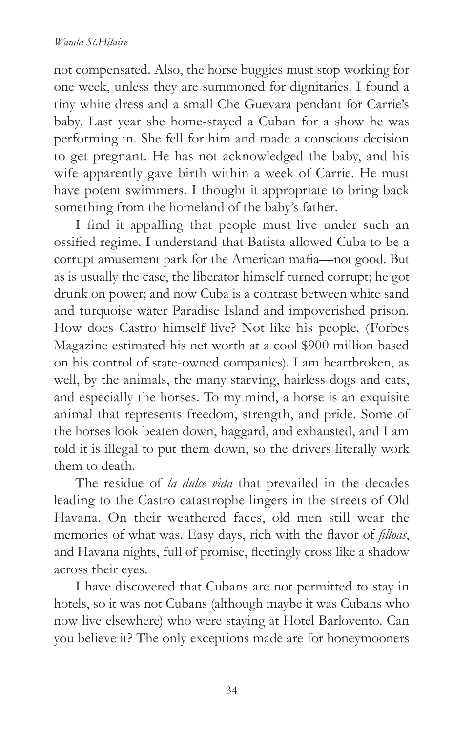not compensated. Also, the horse buggies must stop working for one week, unless they are summoned for dignitaries. I found a tiny white dress and a small Che Guevara pendant for Carrie's baby. Last year she home-stayed a Cuban for a show he was performing in. She fell for him and made a conscious decision to get pregnant. He has not acknowledged the baby, and his wife apparently gave birth within a week of Carrie. He must have potent swimmers. I thought it appropriate to bring back something from the homeland of the baby's father.

I find it appalling that people must live under such an ossified regime. I understand that Batista allowed Cuba to be a corrupt amusement park for the American mafia-not good. But as is usually the case, the liberator himself turned corrupt; he got drunk on power; and now Cuba is a contrast between white sand and turquoise water Paradise Island and impoverished prison. How does Castro himself live? Not like his people. (Forbes Magazine estimated his net worth at a cool \$900 million based on his control of state-owned companies). I am heartbroken, as well, by the animals, the many starving, hairless dogs and cats, and especially the horses. To my mind, a horse is an exquisite animal that represents freedom, strength, and pride. Some of the horses look beaten down, haggard, and exhausted, and I am told it is illegal to put them down, so the drivers literally work them to death.

The residue of *la dulce vida* that prevailed in the decades leading to the Castro catastrophe lingers in the streets of Old Havana. On their weathered faces, old men still wear the memories of what was. Easy days, rich with the flavor of *filloas*, and Havana nights, full of promise, fleetingly cross like a shadow across their eyes.

I have discovered that Cubans are not permitted to stay in hotels, so it was not Cubans (although maybe it was Cubans who now live elsewhere) who were staying at Hotel Barlovento. Can you believe it? The only exceptions made are for honeymooners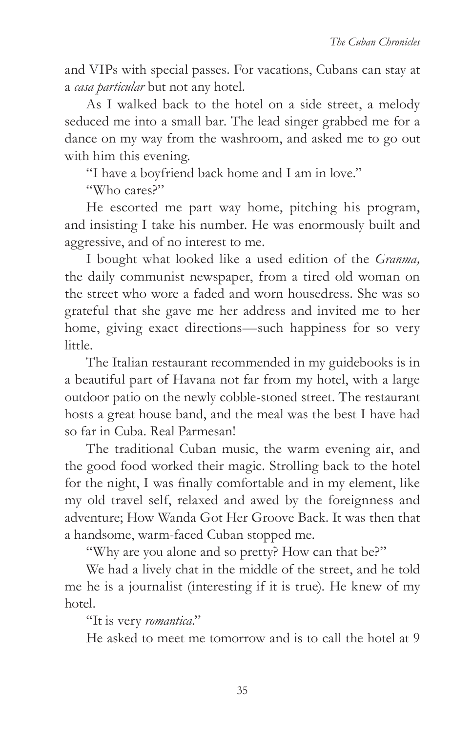and VIPs with special passes. For vacations, Cubans can stay at a *casa particular* but not any hotel.

As I walked back to the hotel on a side street, a melody seduced me into a small bar. The lead singer grabbed me for a dance on my way from the washroom, and asked me to go out with him this evening.

"I have a boyfriend back home and I am in love."

"Who cares?"

He escorted me part way home, pitching his program, and insisting I take his number. He was enormously built and aggressive, and of no interest to me.

I bought what looked like a used edition of the *Granma,*  the daily communist newspaper, from a tired old woman on the street who wore a faded and worn housedress. She was so grateful that she gave me her address and invited me to her home, giving exact directions—such happiness for so very little.

The Italian restaurant recommended in my guidebooks is in a beautiful part of Havana not far from my hotel, with a large outdoor patio on the newly cobble-stoned street. The restaurant hosts a great house band, and the meal was the best I have had so far in Cuba. Real Parmesan!

The traditional Cuban music, the warm evening air, and the good food worked their magic. Strolling back to the hotel for the night, I was finally comfortable and in my element, like my old travel self, relaxed and awed by the foreignness and adventure; How Wanda Got Her Groove Back. It was then that a handsome, warm-faced Cuban stopped me.

"Why are you alone and so pretty? How can that be?"

We had a lively chat in the middle of the street, and he told me he is a journalist (interesting if it is true). He knew of my hotel.

"It is very *romantica*."

He asked to meet me tomorrow and is to call the hotel at 9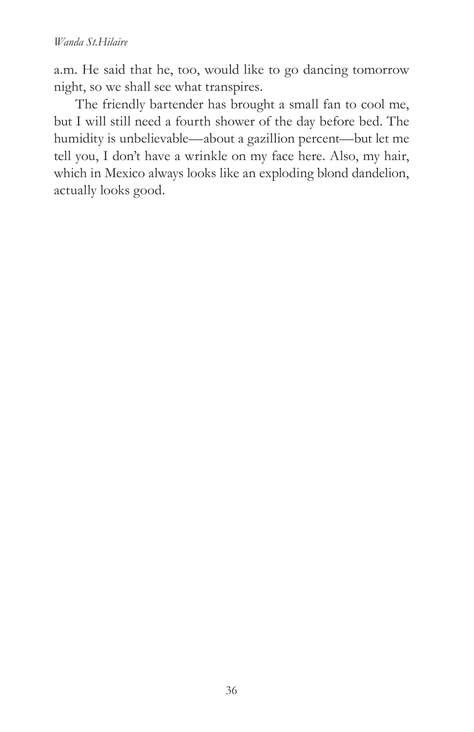a.m. He said that he, too, would like to go dancing tomorrow night, so we shall see what transpires.

The friendly bartender has brought a small fan to cool me, but I will still need a fourth shower of the day before bed. The humidity is unbelievable—about a gazillion percent—but let me tell you, I don't have a wrinkle on my face here. Also, my hair, which in Mexico always looks like an exploding blond dandelion, actually looks good.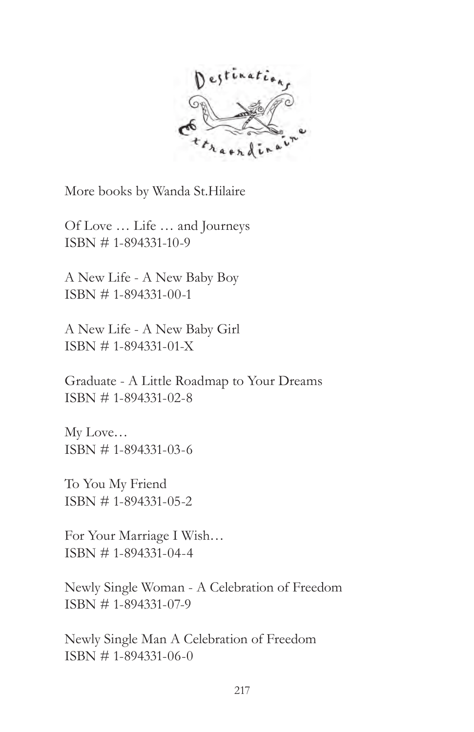

More books by Wanda St.Hilaire

Of Love … Life … and Journeys ISBN # 1-894331-10-9

A New Life - A New Baby Boy ISBN # 1-894331-00-1

A New Life - A New Baby Girl ISBN # 1-894331-01-X

Graduate - A Little Roadmap to Your Dreams ISBN # 1-894331-02-8

My Love… ISBN # 1-894331-03-6

To You My Friend ISBN # 1-894331-05-2

For Your Marriage I Wish… ISBN # 1-894331-04-4

Newly Single Woman - A Celebration of Freedom ISBN # 1-894331-07-9

Newly Single Man A Celebration of Freedom ISBN # 1-894331-06-0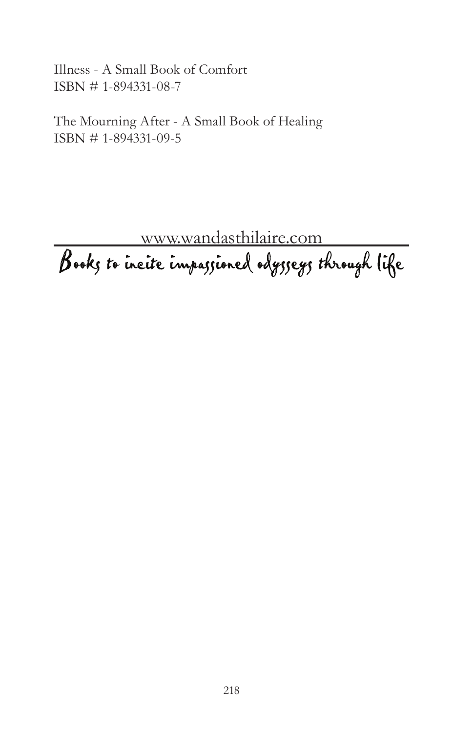Illness - A Small Book of Comfort ISBN # 1-894331-08-7

The Mourning After - A Small Book of Healing ISBN # 1-894331-09-5

www.wandasthilaire.com<br>Books to incite impassioned odysseys through life